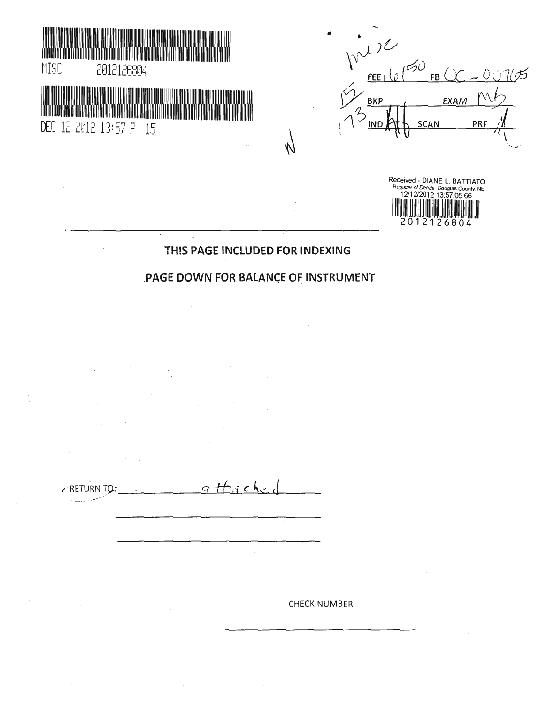



Received - DIANE L BATTIATO Register of Deeds Douglas County NE 2012126804

# THIS PAGE INCLUDED FOR INDEXING

 $\mathcal{N}$ 

# PAGE DOWN FOR BALANCE OF INSTRUMENT

 $\overline{\phantom{a}}$ 

r RETURN TQ:  $\overline{q}$  and  $\overline{r}$  c  $\overline{r}$ 

 $\bar{z}$ 

 $\bar{z}$ 

 $\sim$ 

CHECK NUMBER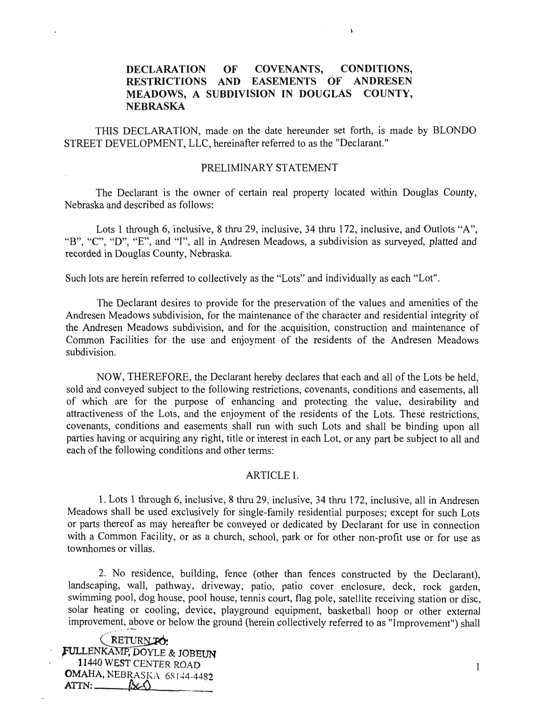# DECLARATION OF COVENANTS, CONDITIONS, RESTRICTIONS AND EASEMENTS OF ANDRESEN MEADOWS, A SUBDIVISION IN DOUGLAS COUNTY, NEBRASKA

 $\mathbf{r}$ 

THIS DECLARATION, made on the date hereunder set forth, is made by BLONDO STREET DEVELOPMENT, LLC, hereinafter referred to as the "Declarant."

#### PRELIMINARY STATEMENT

The Declarant is the owner of certain real property located within Douglas County, Nebraska and described as follows:

Lots 1 through 6, inclusive, 8 thru 29, inclusive, 34 thru 172, inclusive, and Outlots "A", "B", "C", "D", "E", and "I", all in Andresen Meadows, a subdivision as surveyed, platted and recorded in Douglas County, Nebraska.

Such lots are herein referred to collectively as the "Lots" and individually as each "Lot".

The Declarant desires to provide for the preservation of the values and amenities of the Andresen Meadows subdivision, for the maintenance of the character and residential integrity of the Andresen Meadows subdivision, and for the acquisition, construction and maintenance of Common Facilities for the use and enjoyment of the residents of the Andresen Meadows subdivision.

NOW, THEREFORE, the Declarant hereby declares that each and all of the Lots be held, sold and conveyed subject to the following restrictions, covenants, conditions and easements, all of which are for the purpose of enhancing and protecting the value, desirability and attractiveness of the Lots, and the enjoyment of the residents of the Lots. These restrictions, covenants, conditions and easements shall run with such Lots and shall be binding upon all parties having or acquiring any right, title or interest in each Lot, or any part be subject to all and each of the following conditions and other terms:

#### ARTICLE I.

1. Lots 1 through 6, inclusive, 8 thru 29, inclusive, 34 thru 172, inclusive, all in Andresen Meadows shall be used exclusively for single-family residential purposes; except for such Lots or parts thereof as may hereafter be conveyed or dedicated by Declarant for use in connection with a Common Facility, or as a church, school, park or for other non-profit use or for use as townhomes or villas.

2. No residence, building, fence (other than fences constructed by the Declarant), landscaping, wall, pathway, driveway, patio, patio cover enclosure, deck, rock garden, swimming pool, dog house, pool house, tennis court, flag pole, satellite receiving station or disc, solar heating or cooling, device, playground equipment, basketball hoop or other external improvement, above or below the ground (herein collectively referred to as "Improvement") shall

 $KELURNPO$ fULLENKAM^DOYLE & JOBEUN 1 1440 WEST CENTER ROAD 1 OMAHA, NEBRASKA 68144-4482  $ATTN:$   $\beta \in \Omega$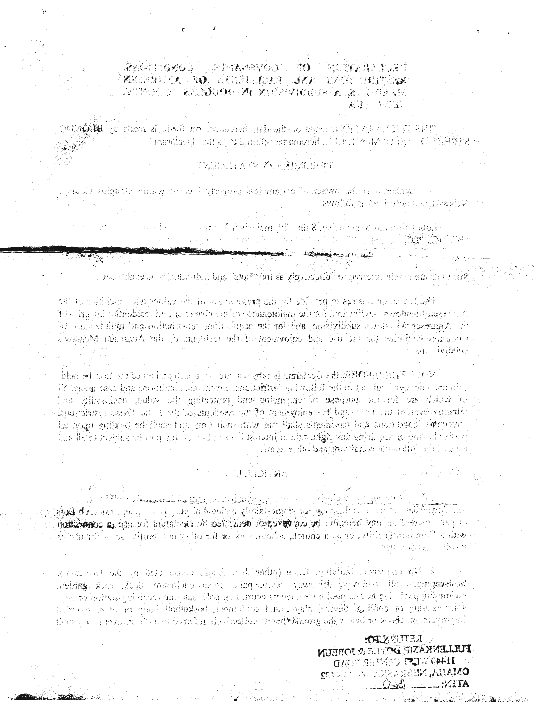# 全然の中心を確認し、この時代の時間のあり、 すのこ うちのかね 持たましまり WEIGHTA NO TRIBUILLA CONTINUES A-40 JAN A-2010 BANA IN-HODOGA (A-A-A).<br>ATA-4-JTA

:This William (Warrante on the drawing response of Diffulls heads by **philos**tic ,  $\mathbb{R}^n$  )  $\mathbb{R}^n$  ,  $\mathbb{R}^n$  ,  $\mathbb{R}^n$  ,  $\mathbb{R}^n$  ,  $\mathbb{R}^n$  ,  $\mathbb{R}^n$  ,  $\mathbb{R}^n$  ,  $\mathbb{R}^n$  ,  $\mathbb{R}^n$  ,  $\mathbb{R}^n$  ,  $\mathbb{R}^n$  ,  $\mathbb{R}^n$  ,  $\mathbb{R}^n$  ,  $\mathbb{R}^n$  ,  $\mathbb{R}^n$  ,  $\mathbb{R}^n$ 

# V BERTHA (2) *IS an IN ALEEM* F

junik) selguasi nulisy serong Paragong lepi mujena bolantwa wili si serontangs amolum in het instabilier alexable

 $\{x_1,\ldots,x\},\mathcal{L}$  .  $\label{eq:R1} \begin{array}{ll} \mathbb{E}\left\{ \mathcal{A}^{(k+1)/2} \right\} & \text{for all } k \in \mathbb{N}, \ \mathcal{A}^{(k)}_{k+1} \left( \mathcal{A}^{(k)}_{k+1} \right) & \text{for all } k \in \mathbb{N}, \ \mathcal{A}^{(k)}_{k+1} \left( \mathcal{A}^{(k)}_{k+1} \right) & \text{for all } k \in \mathbb{N}, \end{array}$ 2\* A-'V We will be a finally  $U_{\infty}$  is presented by  $\mathcal{U}_{\infty}$  . Then

. Thus there are climate above that that  $\mathbb{P}^1$  oil and denote the form of  $\mathbb{P}^1$  is a constant in  $\mathbb{P}^1$ 

the millionic line woley white is sensore also it this me of specialists in the air - A: a: ' Troshico he , ' sereix :A' la :Annannian what hai: There is sobed i match . A -run Angespielen der subjektiven, wird ihn ihn und der aufgebauen der begehauen der inder der inde MXXXXXII:Mu:fii:Mu:fii:Mu:fii:Mu:fii:Mu:fii:Mu: aa: aa: aa: aa: aa: aa; Ay: aa: aa; 1999)<br>. A PANTA DE LO A AMBAS COMARCELLOS LO TRATOLOS EN TRANSCIPATO A MOLTO CARLO A A INTERFERIMA E PORTAMENTO AMBASA<br>Los fi sue sivibure

bina an iliyya iya so sin birgi contor iliya she an iyayi ni gabin kochin gora.<br>A If its and all speaks interest in a set  $\alpha$  -and  $\alpha$  in the set of  $\alpha$  in  $\alpha$  is a set of  $\alpha$  in  $\alpha$  in  $\alpha$  ,  $\alpha$ b ."L-'KiJi A?\*;ii^'A •" . :> ' . ^A it A'-) A'/AA , C ' U ' U ' U ' U ' O ' O ' O ' O ' A ' A ' A ' ' A ' ' ' - ' - 2 \* 1 A ' ' ' U A / U A / V - ' U A / V - 1 A  $\sim$  1  $\sim$   $\alpha$  , is a  $\alpha$  and  $\sim$   $\alpha$  . A in  $\alpha$  is a set  $\alpha$  in  $\alpha$  is a set  $\alpha$  in  $\alpha$ , y . v ' V . , ' - \ \ r \ : \ : i : A J r ? A ' I a p - a ; ; a / - a a ^ \* i ; i - i j : . . a ■ i / . t ' t s . ! > : ; » : - ? > P " b : > ' A \ : > . \ x A A A - - A . A A . ■ . ' A a . a a a ; ■ • ' A A A ^ A ' ^ - i ; A islari with the first Declared Press and the complete of the complete to the complete to the infinite original  $\sigma$  and  $\sigma$  . If  $\sigma$  is the state  $\mathcal{H}(\mathcal{G})$  is defined by  $\mathcal{H}(\mathcal{G})$  . A contribution

#### vs..

A March 2004 League La Augustin La La Cardy Augustin March 2007 (March 2008) and La Cardy Augustin A . B  $\mathbf A$  defines a particular comparent with  $\mathbf a$  . The state six  $\mathbf w$  and  $\mathbf w$  is  $\mathbb R$  . In the state  $\mathbf a$  and  $\mathbf a$ : جهانا، به الـ " en an Erellik, or an <mark>à gharrh</mark>, le hann, seuk <mark>or fer e</mark>ther me 'profit : . . . . . . . . . . .<br>دانگردانه

 $\mathbb{R}^2$ urii  $\mathbb{R}^2$  , a a a a shekarar a a shekarar shekarar shekarar  $\mathbb{R}^2$  . The shekarar shekarar shekarar shekarar shekarar shekarar shekarar shekarar shekarar shekarar shekarar shekarar shekarar shekarar sh i ."• ; ?•'■/ ; : A . , , - . . : ■ , . ; - ; A ■ - ■ : ' ' i - 7 ? > r i J i - . « ) v a . A a ; ' ^ ! ; A K . It is a part of the count Modundard present to be home and it is divide that Home in the first state :• Arv^J^AVj. J-:'Mj: ■' .'-,•:> : .'1-: i ';•»..: , ..,;V.-'  $\bar{z}$  is strictly the state of the particle of states  $\bar{z}$  and HV  $\bar{z}$  is easy of states for a state of  $\bar{z}$ 1 J'VV-

, John States for the fit of the solution  $\Pi$  is the state of the solution of the solution  $\Lambda$  . The state  $\Lambda$  is the solution of the solution of the state of the solution of the solution of the solution of the solutio

**AETIENTEN IULIENKANE, DONE DOREUN OACE SHANGED LACIN OPEN OMARIA, NESRASKA ZA FILITAREZ** \_:v:rrA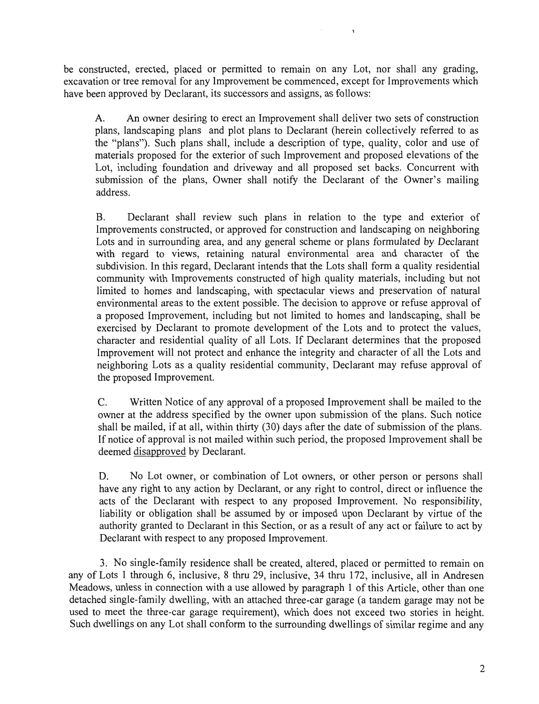be constructed, erected, placed or permitted to remain on any Lot, nor shall any grading, excavation or tree removal for any Improvement be commenced, except for Improvements which have been approved by Declarant, its successors and assigns, as follows:

A. An owner desiring to erect an Improvement shall deliver two sets of construction plans, landscaping plans and plot plans to Declarant (herein collectively referred to as the "plans"). Such plans shall, include a description of type, quality, color and use of materials proposed for the exterior of such Improvement and proposed elevations of the Lot, including foundation and driveway and all proposed set backs. Concurrent with submission of the plans, Owner shall notify the Declarant of the Owner's mailing address.

 $\mathbf{r}$ 

B. Declarant shall review such plans in relation to the type and exterior of Improvements constructed, or approved for construction and landscaping on neighboring Lots and in surrounding area, and any general scheme or plans formulated by Declarant with regard to views, retaining natural environmental area and character of the subdivision. In this regard, Declarant intends that the Lots shall form a quality residential community with Improvements constructed of high quality materials, including but not limited to homes and landscaping, with spectacular views and preservation of natural environmental areas to the extent possible. The decision to approve or refuse approval of a proposed Improvement, including but not limited to homes and landscaping, shall be exercised by Declarant to promote development of the Lots and to protect the values, character and residential quality of all Lots. If Declarant determines that the proposed Improvement will not protect and enhance the integrity and character of all the Lots and neighboring Lots as a quality residential community, Declarant may refuse approval of the proposed Improvement.

C. Written Notice of any approval of a proposed Improvement shall be mailed to the owner at the address specified by the owner upon submission of the plans. Such notice shall be mailed, if at all, within thirty (30) days after the date of submission of the plans. If notice of approval is not mailed within such period, the proposed Improvement shall be deemed disapproved by Declarant.

D. No Lot owner, or combination of Lot owners, or other person or persons shall have any right to any action by Declarant, or any right to control, direct or influence the acts of the Declarant with respect to any proposed Improvement. No responsibility, liability or obligation shall be assumed by or imposed upon Declarant by virtue of the authority granted to Declarant in this Section, or as a result of any act or failure to act by Declarant with respect to any proposed Improvement.

3. No single-family residence shall be created, altered, placed or permitted to remain on any of Lots 1 through 6, inclusive, 8 thru 29, inclusive, 34 thru 172, inclusive, all in Andresen Meadows, unless in connection with a use allowed by paragraph 1 of this Article, other than one detached single-family dwelling, with an attached three-car garage (a tandem garage may not be used to meet the three-car garage requirement), which does not exceed two stories in height. Such dwellings on any Lot shall conform to the surrounding dwellings of similar regime and any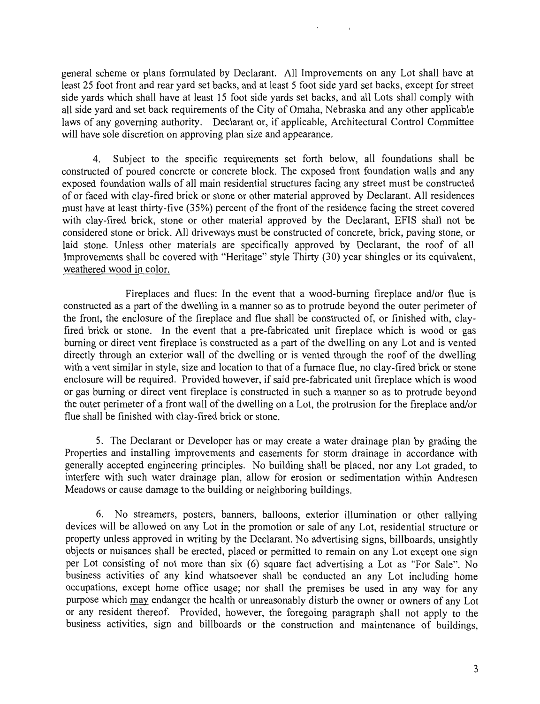general scheme or plans formulated by Declarant. All Improvements on any Lot shall have at least 25 foot front and rear yard set backs, and at least 5 foot side yard set backs, except for street side yards which shall have at least 15 foot side yards set backs, and all Lots shall comply with all side yard and set back requirements of the City of Omaha, Nebraska and any other applicable laws of any governing authority. Declarant or, if applicable, Architectural Control Committee will have sole discretion on approving plan size and appearance.

4. Subject to the specific requirements set forth below, all foundations shall be constructed of poured concrete or concrete block. The exposed front foundation walls and any exposed foundation walls of all main residential structures facing any street must be constructed of or faced with clay-fired brick or stone or other material approved by Declarant. All residences must have at least thirty-five (35%) percent of the front of the residence facing the street covered with clay-fired brick, stone or other material approved by the Declarant, EFIS shall not be considered stone or brick. All driveways must be constructed of concrete, brick, paving stone, or laid stone. Unless other materials are specifically approved by Declarant, the roof of all Improvements shall be covered with "Heritage" style Thirty (30) year shingles or its equivalent, weathered wood in color.

Fireplaces and flues: In the event that a wood-burning fireplace and/or flue is constructed as a part of the dwelling in a manner so as to protrude beyond the outer perimeter of the front, the enclosure of the fireplace and flue shall be constructed of, or finished with, clayfired brick or stone. In the event that a pre-fabricated unit fireplace which is wood or gas burning or direct vent fireplace is constructed as a part of the dwelling on any Lot and is vented directly through an exterior wall of the dwelling or is vented through the roof of the dwelling with a vent similar in style, size and location to that of a furnace flue, no clay-fired brick or stone enclosure will be required. Provided however, if said pre-fabricated unit fireplace which is wood or gas burning or direct vent fireplace is constructed in such a manner so as to protrude beyond the outer perimeter of a front wall of the dwelling on a Lot, the protrusion for the fireplace and/or flue shall be finished with clay-fired brick or stone.

5. The Declarant or Developer has or may create a water drainage plan by grading the Properties and installing improvements and easements for storm drainage in accordance with generally accepted engineering principles. No building shall be placed, nor any Lot graded, to interfere with such water drainage plan, allow for erosion or sedimentation within Andresen Meadows or cause damage to the building or neighboring buildings.

6. No streamers, posters, banners, balloons, exterior illumination or other rallying devices will be allowed on any Lot in the promotion or sale of any Lot, residential structure or property unless approved in writing by the Declarant. No advertising signs, billboards, unsightly objects or nuisances shall be erected, placed or permitted to remain on any Lot except one sign per Lot consisting of not more than six (6) square fact advertising a Lot as "For Sale". No business activities of any kind whatsoever shall be conducted an any Lot including home occupations, except home office usage; nor shall the premises be used in any way for any purpose which may endanger the health or unreasonably disturb the owner or owners of any Lot or any resident thereof. Provided, however, the foregoing paragraph shall not apply to the business activities, sign and billboards or the construction and maintenance of buildings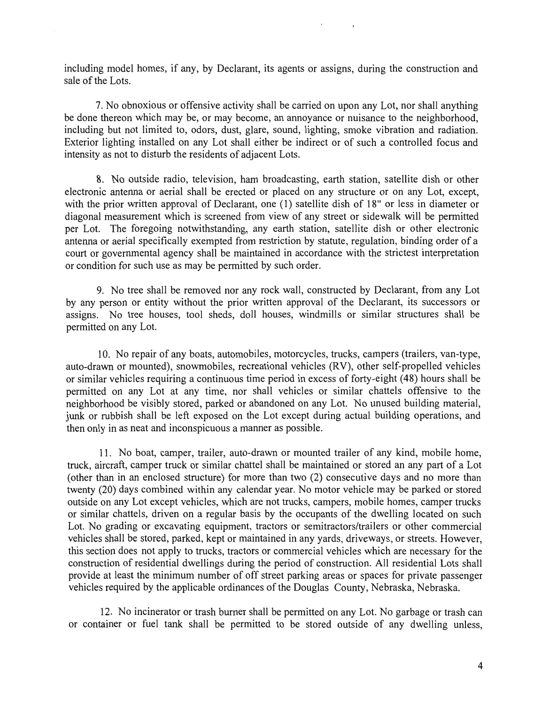including model homes, if any, by Declarant, its agents or assigns, during the construction and sale of the Lots.

7. No obnoxious or offensive activity shall be carried on upon any Lot, nor shall anything be done thereon which may be, or may become, an annoyance or nuisance to the neighborhood, including but not limited to, odors, dust, glare, sound, lighting, smoke vibration and radiation. Exterior lighting installed on any Lot shall either be indirect or of such a controlled focus and intensity as not to disturb the residents of adjacent Lots.

8. No outside radio, television, ham broadcasting, earth station, satellite dish or other electronic antenna or aerial shall be erected or placed on any structure or on any Lot, except, with the prior written approval of Declarant, one (1) satellite dish of 18" or less in diameter or diagonal measurement which is screened from view of any street or sidewalk will be permitted per Lot. The foregoing notwithstanding, any earth station, satellite dish or other electronic antenna or aerial specifically exempted from restriction by statute, regulation, binding order of a court or governmental agency shall be maintained in accordance with the strictest interpretation or condition for such use as may be permitted by such order.

9. No tree shall be removed nor any rock wall, constructed by Declarant, from any Lot by any person or entity without the prior written approval of the Declarant, its successors or assigns. No tree houses, tool sheds, doll houses, windmills or similar structures shall be permitted on any Lot.

10. No repair of any boats, automobiles, motorcycles, trucks, campers (trailers, van-type, auto-drawn or mounted), snowmobiles, recreational vehicles (RV), other self-propelled vehicles or similar vehicles requiring a continuous time period in excess of forty-eight (48) hours shall be permitted on any Lot at any time, nor shall vehicles or similar chattels offensive to the neighborhood be visibly stored, parked or abandoned on any Lot. No unused building material, junk or rubbish shall be left exposed on the Lot except during actual building operations, and then only in as neat and inconspicuous a manner as possible.

11. No boat, camper, trailer, auto-drawn or mounted trailer of any kind, mobile home, truck, aircraft, camper truck or similar chattel shall be maintained or stored an any part of a Lot (other than in an enclosed structure) for more than two (2) consecutive days and no more than twenty (20) days combined within any calendar year. No motor vehicle may be parked or stored outside on any Lot except vehicles, which are not trucks, campers, mobile homes, camper trucks or similar chattels, driven on a regular basis by the occupants of the dwelling located on such Lot. No grading or excavating equipment, tractors or semitractors/trailers or other commercial vehicles shall be stored, parked, kept or maintained in any yards, driveways, or streets. However, this section does not apply to trucks, tractors or commercial vehicles which are necessary for the construction of residential dwellings during the period of construction. All residential Lots shall provide at least the minimum number of off street parking areas or spaces for private passenger vehicles required by the applicable ordinances of the Douglas County, Nebraska, Nebraska.

12. No incinerator or trash burner shall be permitted on any Lot. No garbage or trash can or container or fuel tank shall be permitted to be stored outside of any dwelling unless,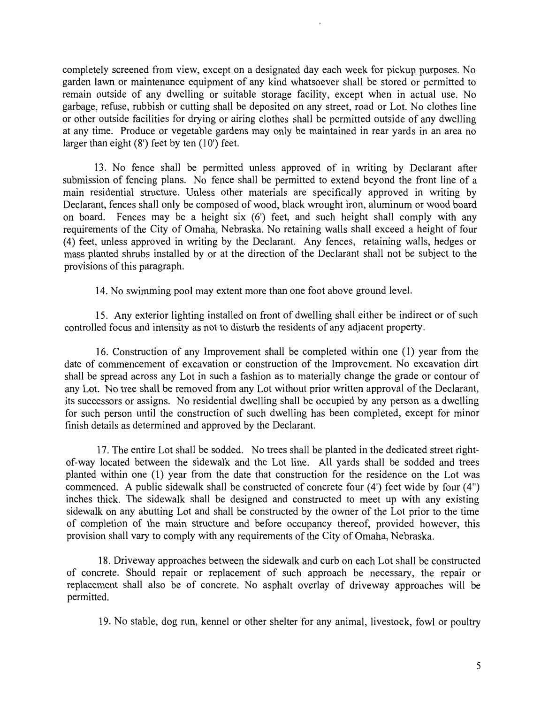completely screened from view, except on a designated day each week for pickup purposes. No garden lawn or maintenance equipment of any kind whatsoever shall be stored or permitted to remain outside of any dwelling or suitable storage facility, except when in actual use. No garbage, refuse, rubbish or cutting shall be deposited on any street, road or Lot. No clothes line or other outside facilities for drying or airing clothes shall be permitted outside of any dwelling at any time. Produce or vegetable gardens may only be maintained in rear yards in an area no larger than eight (8') feet by ten (10') feet.

13. No fence shall be permitted unless approved of in writing by Declarant after submission of fencing plans. No fence shall be permitted to extend beyond the front line of a main residential structure. Unless other materials are specifically approved in writing by Declarant, fences shall only be composed of wood, black wrought iron, aluminum or wood board on board. Fences may be a height six (6') feet, and such height shall comply with any requirements of the City of Omaha, Nebraska. No retaining walls shall exceed a height of four (4) feet, unless approved in writing by the Declarant. Any fences, retaining walls, hedges or mass planted shrubs installed by or at the direction of the Declarant shall not be subject to the provisions of this paragraph.

14. No swimming pool may extent more than one foot above ground level.

15. Any exterior lighting installed on front of dwelling shall either be indirect or of such controlled focus and intensity as not to disturb the residents of any adjacent property.

16. Construction of any Improvement shall be completed within one (1) year from the date of commencement of excavation or construction of the Improvement. No excavation dirt shall be spread across any Lot in such a fashion as to materially change the grade or contour of any Lot. No tree shall be removed from any Lot without prior written approval of the Declarant, its successors or assigns. No residential dwelling shall be occupied by any person as a dwelling for such person until the construction of such dwelling has been completed, except for minor finish details as determined and approved by the Declarant.

17. The entire Lot shall be sodded. No trees shall be planted in the dedicated street rightof-way located between the sidewalk and the Lot line. All yards shall be sodded and trees planted within one (1) year from the date that construction for the residence on the Lot was commenced. A public sidewalk shall be constructed of concrete four (4') feet wide by four (4") inches thick. The sidewalk shall be designed and constructed to meet up with any existing sidewalk on any abutting Lot and shall be constructed by the owner of the Lot prior to the time of completion of the main structure and before occupancy thereof, provided however, this provision shall vary to comply with any requirements of the City of Omaha, Nebraska.

18. Driveway approaches between the sidewalk and curb on each Lot shall be constructed of concrete. Should repair or replacement of such approach be necessary, the repair or replacement shall also be of concrete. No asphalt overlay of driveway approaches will be permitted.

19. No stable, dog run, kennel or other shelter for any animal, livestock, fowl or poultry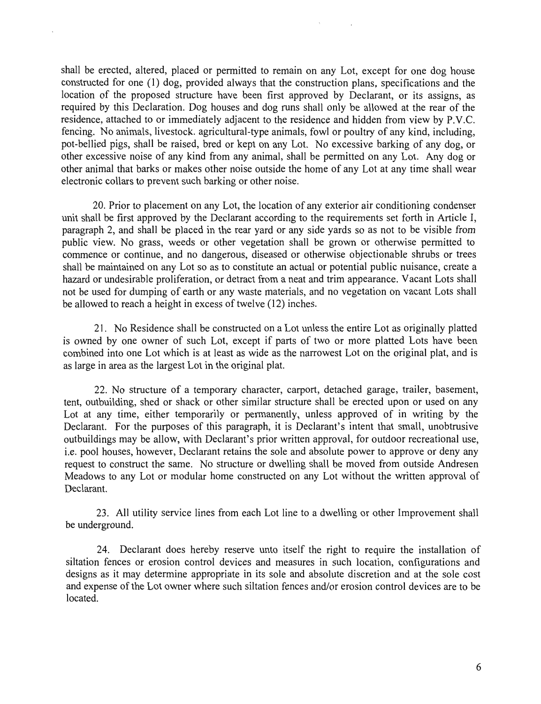shall be erected, altered, placed or permitted to remain on any Lot, except for one dog house constructed for one (1) dog, provided always that the construction plans, specifications and the location of the proposed structure have been first approved by Declarant, or its assigns, as required by this Declaration. Dog houses and dog runs shall only be allowed at the rear of the residence, attached to or immediately adjacent to the residence and hidden from view by P.V.C. fencing. No animals, livestock, agricultural-type animals, fowl or poultry of any kind, including, pot-bellied pigs, shall be raised, bred or kept on any Lot. No excessive barking of any dog, or other excessive noise of any kind from any animal, shall be permitted on any Lot. Any dog or other animal that barks or makes other noise outside the home of any Lot at any time shall wear electronic collars to prevent such barking or other noise.

20. Prior to placement on any Lot, the location of any exterior air conditioning condenser unit shall be first approved by the Declarant according to the requirements set forth in Article I, paragraph 2, and shall be placed in the rear yard or any side yards so as not to be visible from public view. No grass, weeds or other vegetation shall be grown or otherwise permitted to commence or continue, and no dangerous, diseased or otherwise objectionable shrubs or trees shall be maintained on any Lot so as to constitute an actual or potential public nuisance, create a hazard or undesirable proliferation, or detract from a neat and trim appearance. Vacant Lots shall not be used for dumping of earth or any waste materials, and no vegetation on vacant Lots shall be allowed to reach a height in excess of twelve (12) inches.

21. No Residence shall be constructed on a Lot unless the entire Lot as originally platted is owned by one owner of such Lot, except if parts of two or more platted Lots have been combined into one Lot which is at least as wide as the narrowest Lot on the original plat, and is as large in area as the largest Lot in the original plat.

22. No structure of a temporary character, carport, detached garage, trailer, basement, tent, outbuilding, shed or shack or other similar structure shall be erected upon or used on any Lot at any time, either temporarily or permanently, unless approved of in writing by the Declarant. For the purposes of this paragraph, it is Declarant's intent that small, unobtrusive outbuildings may be allow, with Declarant's prior written approval, for outdoor recreational use, i.e. pool houses, however, Declarant retains the sole and absolute power to approve or deny any request to construct the same. No structure or dwelling shall be moved from outside Andresen Meadows to any Lot or modular home constructed on any Lot without the written approval of Declarant.

23. All utility service lines from each Lot line to a dwelling or other Improvement shall be underground.

24. Declarant does hereby reserve unto itself the right to require the installation of siltation fences or erosion control devices and measures in such location, configurations and designs as it may determine appropriate in its sole and absolute discretion and at the sole cost and expense of the Lot owner where such siltation fences and/or erosion control devices are to be located.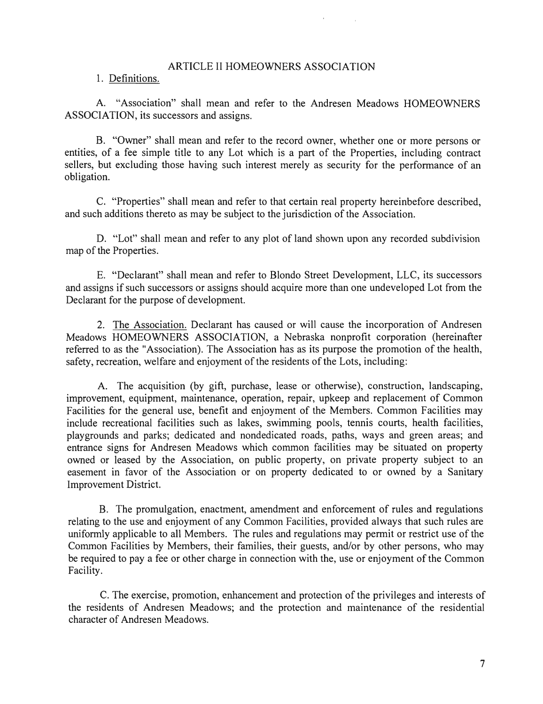#### ARTICLE II HOMEOWNERS ASSOCIATION

### 1. Definitions.

A. "Association" shall mean and refer to the Andresen Meadows HOMEOWNERS ASSOCIATION, its successors and assigns.

B. "Owner" shall mean and refer to the record owner, whether one or more persons or entities, of a fee simple title to any Lot which is a part of the Properties, including contract sellers, but excluding those having such interest merely as security for the performance of an obligation.

C. "Properties" shall mean and refer to that certain real property hereinbefore described, and such additions thereto as may be subject to the jurisdiction of the Association.

D. "Lot" shall mean and refer to any plot of land shown upon any recorded subdivision map of the Properties.

E. "Declarant" shall mean and refer to Blondo Street Development, LLC, its successors and assigns if such successors or assigns should acquire more than one undeveloped Lot from the Declarant for the purpose of development.

2. The Association. Declarant has caused or will cause the incorporation of Andresen Meadows HOMEOWNERS ASSOCIATION, a Nebraska nonprofit corporation (hereinafter referred to as the "Association). The Association has as its purpose the promotion of the health, safety, recreation, welfare and enjoyment of the residents of the Lots, including:

A. The acquisition (by gift, purchase, lease or otherwise), construction, landscaping, improvement, equipment, maintenance, operation, repair, upkeep and replacement of Common Facilities for the general use, benefit and enjoyment of the Members. Common Facilities may include recreational facilities such as lakes, swimming pools, tennis courts, health facilities, playgrounds and parks; dedicated and nondedicated roads, paths, ways and green areas; and entrance signs for Andresen Meadows which common facilities may be situated on property owned or leased by the Association, on public property, on private property subject to an easement in favor of the Association or on property dedicated to or owned by a Sanitary Improvement District.

B. The promulgation, enactment, amendment and enforcement of rules and regulations relating to the use and enjoyment of any Common Facilities, provided always that such rules are relating to the use and enjoyment of any Common Facilities, provided always that such rules are uniformly applicable to all Members. The rules and regulations may permit or restrict use of the Common Facilities by Members, their families, their guests, and/or by other persons, who may be required to pay a fee or other charge in connection with the, use or enjoyment of the Common Facility.

C. The exercise, promotion, enhancement and protection of the privileges and interests of the residents of Andresen Meadows; and the protection and maintenance of the residential character of Andresen Meadows.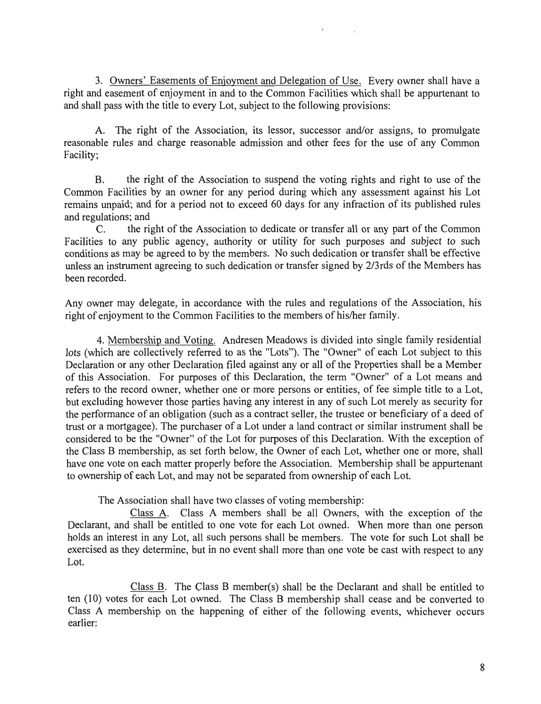3. Owners' Easements of Enjoyment and Delegation of Use. Every owner shall have a right and easement of enjoyment in and to the Common Facilities which shall be appurtenant to and shall pass with the title to every Lot, subject to the following provisions:

A. The right of the Association, its lessor, successor and/or assigns, to promulgate reasonable rules and charge reasonable admission and other fees for the use of any Common Facility;

B. the right of the Association to suspend the voting rights and right to use of the Common Facilities by an owner for any period during which any assessment against his Lot remains unpaid; and for a period not to exceed 60 days for any infraction of its published rules and regulations; and

C. the right of the Association to dedicate or transfer all or any part of the Common Facilities to any public agency, authority or utility for such purposes and subject to such conditions as may be agreed to by the members. No such dedication or transfer shall be effective unless an instrument agreeing to such dedication or transfer signed by 2/3rds of the Members has been recorded.

Any owner may delegate, in accordance with the rules and regulations of the Association, his right of enjoyment to the Common Facilities to the members of his/her family.

4. Membership and Voting. Andresen Meadows is divided into single family residential lots (which are collectively referred to as the "Lots"). The "Owner" of each Lot subject to this Declaration or any other Declaration filed against any or all of the Properties shall be a Member of this Association. For purposes of this Declaration, the term "Owner" of a Lot means and refers to the record owner, whether one or more persons or entities, of fee simple title to a Lot, but excluding however those parties having any interest in any of such Lot merely as security for the performance of an obligation (such as a contract seller, the trustee or beneficiary of a deed of trust or a mortgagee). The purchaser of a Lot under a land contract or similar instrument shall be considered to be the "Owner" of the Lot for purposes of this Declaration. With the exception of the Class B membership, as set forth below, the Owner of each Lot, whether one or more, shall have one vote on each matter properly before the Association. Membership shall be appurtenant to ownership of each Lot, and may not be separated from ownership of each Lot.

The Association shall have two classes of voting membership:

Class A. Class A members shall be all Owners, with the exception of the Declarant, and shall be entitled to one vote for each Lot owned. When more than one person holds an interest in any Lot, all such persons shall be members. The vote for such Lot shall be exercised as they determine, but in no event shall more than one vote be cast with respect to any Lot.

Class B. The Class B member(s) shall be the Declarant and shall be entitled to ten (10) votes for each Lot owned. The Class B membership shall cease and be converted to Class A membership on the happening of either of the following events, whichever occurs earlier: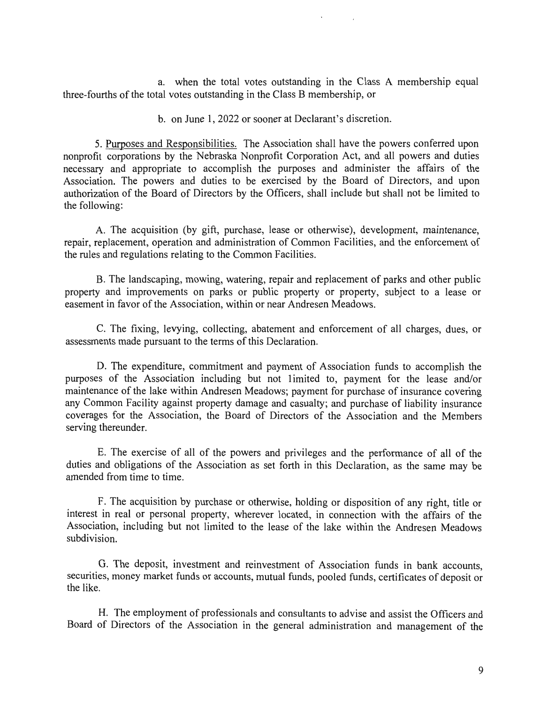a. when the total votes outstanding in the Class A membership equal three-fourths of the total votes outstanding in the Class B membership, or

b. on June 1, 2022 or sooner at Declarant's discretion.

5. Purposes and Responsibilities. The Association shall have the powers conferred upon nonprofit corporations by the Nebraska Nonprofit Corporation Act, and all powers and duties necessary and appropriate to accomplish the purposes and administer the affairs of the Association. The powers and duties to be exercised by the Board of Directors, and upon authorization of the Board of Directors by the Officers, shall include but shall not be limited to the following:

A. The acquisition (by gift, purchase, lease or otherwise), development, maintenance, repair, replacement, operation and administration of Common Facilities, and the enforcement of the rules and regulations relating to the Common Facilities.

B. The landscaping, mowing, watering, repair and replacement of parks and other public property and improvements on parks or public property or property, subject to a lease or easement in favor of the Association, within or near Andresen Meadows.

C. The fixing, levying, collecting, abatement and enforcement of all charges, dues, or assessments made pursuant to the terms of this Declaration.

D. The expenditure, commitment and payment of Association funds to accomplish the purposes of the Association including but not limited to, payment for the lease and/or maintenance of the lake within Andresen Meadows; payment for purchase of insurance covering any Common Facility against property damage and casualty; and purchase of liability insurance coverages for the Association, the Board of Directors of the Association and the Members serving thereunder.

E. The exercise of all of the powers and privileges and the performance of all of the duties and obligations of the Association as set forth in this Declaration, as the same may be amended from time to time.

F. The acquisition by purchase or otherwise, holding or disposition of any right, title or interest in real or personal property, wherever located, in connection with the affairs of the Association, including but not limited to the lease of the lake within the Andresen Meadows subdivision.

G. The deposit, investment and reinvestment of Association funds in bank accounts, securities, money market funds or accounts, mutual funds, pooled funds, certificates of deposit or the like.

H. The employment of professionals and consultants to advise and assist the Officers and Board of Directors of the Association in the general administration and management of the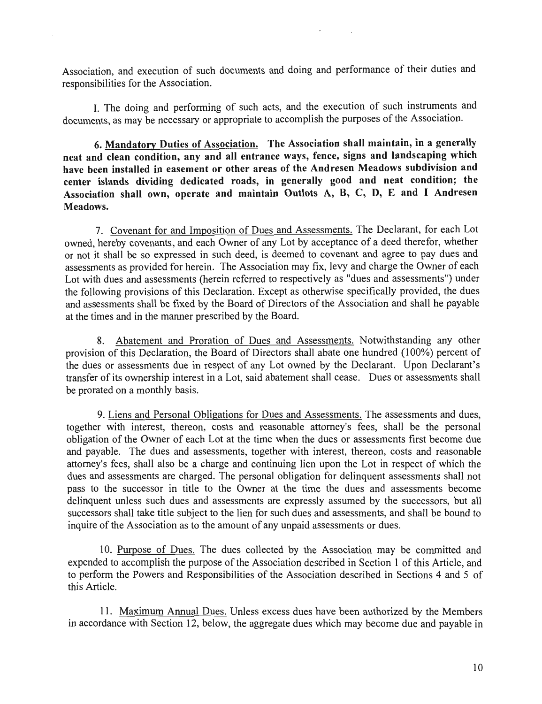Association, and execution of such documents and doing and performance of their duties and responsibilities for the Association.

I. The doing and performing of such acts, and the execution of such instruments and documents, as may be necessary or appropriate to accomplish the purposes of the Association.

6. Mandatory Duties of Association. The Association shall maintain, in a generally neat and clean condition, any and all entrance ways, fence, signs and landscaping which have been installed in easement or other areas of the Andresen Meadows subdivision and center islands dividing dedicated roads, in generally good and neat condition; the Association shall own, operate and maintain Outlots A, B, C, D, E and I Andresen Meadows.

7. Covenant for and Imposition of Dues and Assessments. The Declarant, for each Lot owned, hereby covenants, and each Owner of any Lot by acceptance of a deed therefor, whether or not it shall be so expressed in such deed, is deemed to covenant and agree to pay dues and assessments as provided for herein. The Association may fix, levy and charge the Owner of each Lot with dues and assessments (herein referred to respectively as "dues and assessments") under the following provisions of this Declaration. Except as otherwise specifically provided, the dues and assessments shall be fixed by the Board of Directors of the Association and shall he payable at the times and in the manner prescribed by the Board.

8. Abatement and Proration of Dues and Assessments. Notwithstanding any other provision of this Declaration, the Board of Directors shall abate one hundred (100%) percent of the dues or assessments due in respect of any Lot owned by the Declarant. Upon Declarant's transfer of its ownership interest in a Lot, said abatement shall cease. Dues or assessments shall be prorated on a monthly basis.

9. Liens and Personal Obligations for Dues and Assessments. The assessments and dues, together with interest, thereon, costs and reasonable attorney's fees, shall be the personal obligation of the Owner of each Lot at the time when the dues or assessments first become due and payable. The dues and assessments, together with interest, thereon, costs and reasonable attorney's fees, shall also be a charge and continuing lien upon the Lot in respect of which the dues and assessments are charged. The personal obligation for delinquent assessments shall not pass to the successor in title to the Owner at the time the dues and assessments become delinquent unless such dues and assessments are expressly assumed by the successors, but all successors shall take title subject to the lien for such dues and assessments, and shall be bound to inquire of the Association as to the amount of any unpaid assessments or dues.

10. Purpose of Dues. The dues collected by the Association may be committed and expended to accomplish the purpose of the Association described in Section 1 of this Article, and to perform the Powers and Responsibilities of the Association described in Sections 4 and 5 of this Article.

11 • Maximum Annual Dues. Unless excess dues have been authorized by the Members in accordance with Section 12, below, the aggregate dues which may become due and payable in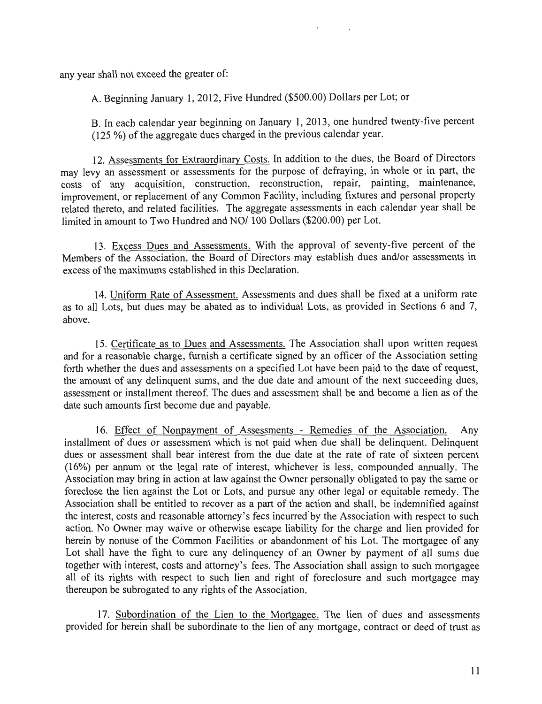any year shall not exceed the greater of:

A. Beginning January 1, 2012, Five Hundred (\$500.00) Dollars per Lot; or

B. In each calendar year beginning on January 1, 2013, one hundred twenty-five percent (125 %) of the aggregate dues charged in the previous calendar year.

12. Assessments for Extraordinary Costs. In addition to the dues, the Board of Directors may levy an assessment or assessments for the purpose of defraying, in whole or in part, the costs of any acquisition, construction, reconstruction, repair, painting, maintenance, improvement, or replacement of any Common Facility, including fixtures and personal property related thereto, and related facilities. The aggregate assessments in each calendar year shall be limited in amount to Two Hundred and NO/100 Dollars (\$200.00) per Lot.

13. Excess Dues and Assessments. With the approval of seventy-five percent of the Members of the Association, the Board of Directors may establish dues and/or assessments in excess of the maximums established in this Declaration.

14. Uniform Rate of Assessment. Assessments and dues shall be fixed at a uniform rate as to all Lots, but dues may be abated as to individual Lots, as provided in Sections 6 and 7 as to an Dots, our dues may be doned as to marriagn Bow, as provided in Secretic 6 and 1,

15. Certificate as to Dues and Assessments. The Association shall upon written request and for a reasonable charge, furnish a certificate signed by an officer of the Association setting forth whether the dues and assessments on a specified Lot have been paid to the date of request the amount of any delinquent sums, and the due date and amount of the next succeeding dues, assessment or installment thereof. The dues and assessment shall be and become a lien as of the date such amounts first become due and payable.

16. Effect of Nonpayment of Assessments - Remedies of the Association. Any installment of dues or assessment which is not paid when due shall be delinquent Delinquent dues or assessment shall bear interest from the due date at the rate of rate of sixteen percent (16%) per annum or the legal rate of interest, whichever is less, compounded annually. The Association may bring in action at law against the Owner personally obligated to pay the same or foreclose the lien against the Lot or Lots, and pursue any other legal or equitable remedy. The Association shall be entitled to recover as a part of the action and shall, be indemnified against the interest, costs and reasonable attorney's fees incurred'by the Association with respect to such action. No Owner may waive or otherwise escape liability for the charge and lien provided for herein by nonuse of the Common Facilities or abandonment of his Lot. The mortgagee of any Lot shall have the fight to cure any delinquency of an Owner by payment of all sums due together with interest, costs and attorney's fees. The Association shall assign to such mortgagee all of its rights with respect to such lien and right of foreclosure and such mortgagee may thereupon be subrogated to any rights of the Association.

17. Subordination of the Lien to the Mortgagee. The lien of dues and assessments provided for herein shall be subordinate to the lien of any mortgage, contract or deed of trust as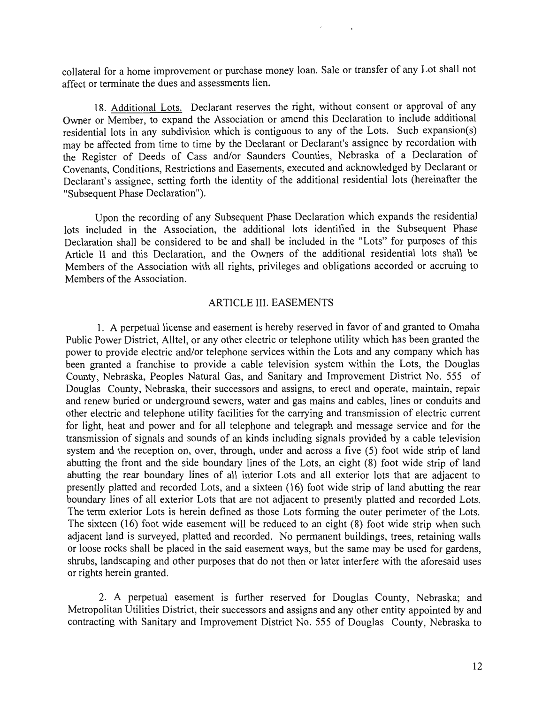collateral for a home improvement or purchase money loan. Sale or transfer of any Lot shall not affect or terminate the dues and assessments lien.

18. Additional Lots. Declarant reserves the right, without consent or approval of any Owner or Member, to expand the Association or amend this Declaration to include additional residential lots in any subdivision which is contiguous to any of the Lots. Such expansion(s) may be affected from time to time by the Declarant or Declarant's assignee by recordation with the Register of Deeds of Cass and/or Saunders Counties, Nebraska of a Declaration of Covenants, Conditions, Restrictions and Easements, executed and acknowledged by Declarant or Declarant's assignee, setting forth the identity of the additional residential lots (hereinafter the "Subsequent Phase Declaration").

Upon the recording of any Subsequent Phase Declaration which expands the residential lots included in the Association, the additional lots identified in the Subsequent Phase Declaration shall be considered to be and shall be included in the "Lots" for purposes of this Article II and this Declaration, and the Owners of the additional residential lots shall be Members of the Association with all rights, privileges and obligations accorded or accruing to Members of the Association.

#### ARTICLE III. EASEMENTS

1. A perpetual license and easement is hereby reserved in favor of and granted to Omaha Public Power District, Alltel, or any other electric or telephone utility which has been granted the power to provide electric and/or telephone services within the Lots and any company which has been granted a franchise to provide a cable television system within the Lots, the Douglas County, Nebraska, Peoples Natural Gas, and Sanitary and Improvement District No. 555 of Douglas County, Nebraska, their successors and assigns, to erect and operate, maintain, repair and renew buried or underground sewers, water and gas mains and cables, lines or conduits and other electric and telephone utility facilities for the carrying and transmission of electric current for light, heat and power and for all telephone and telegraph and message service and for the transmission of signals and sounds of an kinds including signals provided by a cable television system and the reception on, over, through, under and across a five (5) foot wide strip of land abutting the front and the side boundary lines of the Lots, an eight (8) foot wide strip of land abutting the rear boundary lines of all interior Lots and all exterior lots that are adjacent to presently platted and recorded Lots, and a sixteen (16) foot wide strip of land abutting the rear boundary lines of all exterior Lots that are not adjacent to presently platted and recorded Lots. The term exterior Lots is herein defined as those Lots forming the outer perimeter of the Lots. The sixteen (16) foot wide easement will be reduced to an eight (8) foot wide strip when such adjacent land is surveyed, platted and recorded. No permanent buildings, trees, retaining walls or loose rocks shall be placed in the said easement ways, but the same may be used for gardens, shrubs, landscaping and other purposes that do not then or later interfere with the aforesaid uses or rights herein granted.

2. A perpetual easement is further reserved for Douglas County, Nebraska; and Metropolitan Utilities District, their successors and assigns and any other entity appointed by and contracting with Sanitary and Improvement District No. 555 of Douglas County, Nebraska to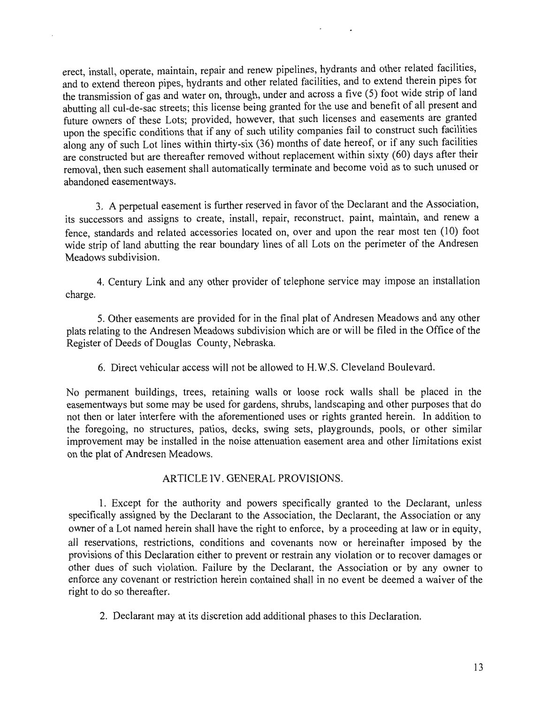erect, install, operate, maintain, repair and renew pipelines, hydrants and other related facilities, and to extend thereon pipes, hydrants and other related facilities, and to extend therein pipes for the transmission of gas and water on, through, under and across a five (5) foot wide strip of land abutting all cul-de-sac streets; this license being granted for the use and benefit of all present and future owners of these Lots; provided, however, that such licenses and easements are granted upon the specific conditions that if any of such utility companies fail to construct such facilities along any of such Lot lines within thirty-six (36) months of date hereof, or if any such facilities are constructed but are thereafter removed without replacement within sixty (60) days after their removal, then such easement shall automatically terminate and become void as to such unused or abandoned easementways.

3. A perpetual easement is further reserved in favor of the Declarant and the Association, its successors and assigns to create, install, repair, reconstruct, paint, maintain, and renew a fence, standards and related accessories located on, over and upon the rear most ten (10) foot wide strip of land abutting the rear boundary lines of all Lots on the perimeter of the Andresen Meadows subdivision.

4. Century Link and any other provider of telephone service may impose an installation charge.

5. Other easements are provided for in the final plat of Andresen Meadows and any other plats relating to the Andresen Meadows subdivision which are or will be filed in the Office of the Register of Deeds of Douglas County, Nebraska.

6. Direct vehicular access will not be allowed to H.W.S. Cleveland Boulevard.

No permanent buildings, trees, retaining walls or loose rock walls shall be placed in the easementways but some may be used for gardens, shrubs, landscaping and other purposes that do not then or later interfere with the aforementioned uses or rights granted herein. In addition to the foregoing, no structures, patios, decks, swing sets, playgrounds, pools, or other similar improvement may be installed in the noise attenuation easement area and other limitations exist on the plat of Andresen Meadows.

# ARTICLE IV. GENERAL PROVISIONS.

1. Except for the authority and powers specifically granted to the Declarant, unless specifically assigned by the Declarant to the Association, the Declarant, the Association or any owner of a Lot named herein shall have the right to enforce, by a proceeding at law or in equity, all reservations, restrictions, conditions and covenants now or hereinafter imposed by the provisions of this Declaration either to prevent or restrain any violation or to recover damages or other dues of such violation. Failure by the Declarant, the Association or by any owner to enforce any covenant or restriction herein contained shall in no event be deemed a waiver of the right to do so thereafter.

2. Declarant may at its discretion add additional phases to this Declaration.